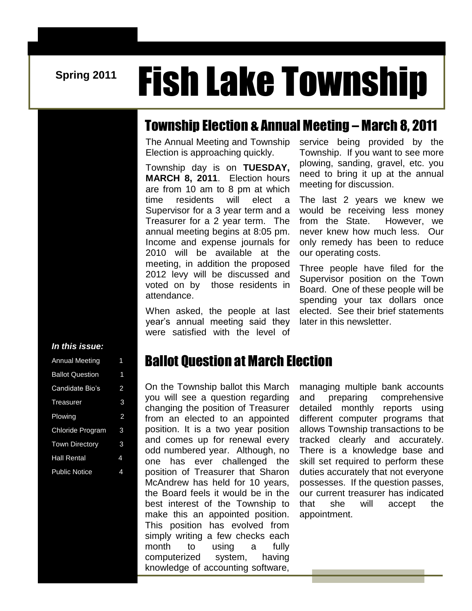# **Spring 2011 Fish Lake Township**

#### Township Election & Annual Meeting – March 8, 2011

 $\frac{1}{1}$ The Annual Meeting and Township Election is approaching quickly.

Township day is on **TUESDAY, MARCH 8, 2011**. Election hours are from 10 am to 8 pm at which time residents will elect a Supervisor for a 3 year term and a Treasurer for a 2 year term. The annual meeting begins at 8:05 pm. Income and expense journals for 2010 will be available at the meeting, in addition the proposed 2012 levy will be discussed and voted on by those residents in attendance.

When asked, the people at last year's annual meeting said they were satisfied with the level of

service being provided by the Township. If you want to see more plowing, sanding, gravel, etc. you need to bring it up at the annual meeting for discussion.

The last 2 years we knew we would be receiving less money from the State. However, we never knew how much less. Our only remedy has been to reduce our operating costs.

Three people have filed for the Supervisor position on the Town Board. One of these people will be spending your tax dollars once elected. See their brief statements later in this newsletter.

#### *In this issue:*

| <b>Annual Meeting</b>  | 1 |
|------------------------|---|
| <b>Ballot Question</b> | 1 |
| Candidate Bio's        | 2 |
| Treasurer              | 3 |
| Plowing                | 2 |
| Chloride Program       | 3 |
| <b>Town Directory</b>  | 3 |
| <b>Hall Rental</b>     | 4 |
| <b>Public Notice</b>   | 4 |

#### Ballot Question at March Election

On the Township ballot this March you will see a question regarding changing the position of Treasurer from an elected to an appointed position. It is a two year position and comes up for renewal every odd numbered year. Although, no one has ever challenged the position of Treasurer that Sharon McAndrew has held for 10 years. the Board feels it would be in the best interest of the Township to make this an appointed position. This position has evolved from simply writing a few checks each month to using a fully computerized system, having knowledge of accounting software,  $\overline{a}$ 

managing multiple bank accounts and preparing comprehensive detailed monthly reports using different computer programs that allows Township transactions to be tracked clearly and accurately. There is a knowledge base and skill set required to perform these duties accurately that not everyone possesses. If the question passes, our current treasurer has indicated that she will accept the appointment.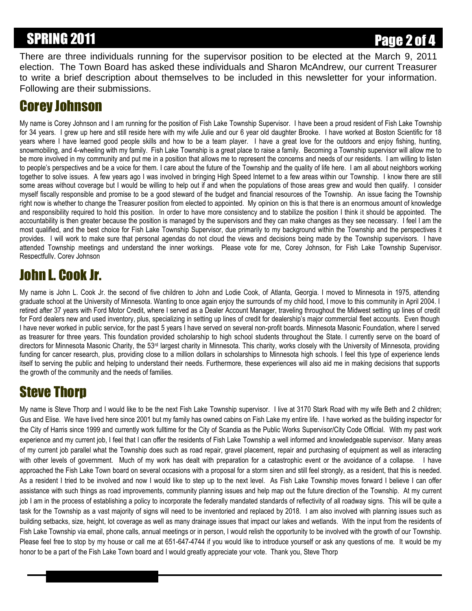# SPRING 2011 **Page 2 of 4**

There are three individuals running for the supervisor position to be elected at the March 9, 2011 election. The Town Board has asked these individuals and Sharon McAndrew, our current Treasurer to write a brief description about themselves to be included in this newsletter for your information. Following are their submissions.

### Corey Johnson

My name is Corey Johnson and I am running for the position of Fish Lake Township Supervisor. I have been a proud resident of Fish Lake Township for 34 years. I grew up here and still reside here with my wife Julie and our 6 year old daughter Brooke. I have worked at Boston Scientific for 18 years where I have learned good people skills and how to be a team player. I have a great love for the outdoors and enjoy fishing, hunting, snowmobiling, and 4-wheeling with my family. Fish Lake Township is a great place to raise a family. Becoming a Township supervisor will allow me to be more involved in my community and put me in a position that allows me to represent the concerns and needs of our residents. I am willing to listen to people's perspectives and be a voice for them. I care about the future of the Township and the quality of life here. I am all about neighbors working together to solve issues. A few years ago I was involved in bringing High Speed Internet to a few areas within our Township. I know there are still some areas without coverage but I would be willing to help out if and when the populations of those areas grew and would then qualify. I consider myself fiscally responsible and promise to be a good steward of the budget and financial resources of the Township. An issue facing the Township right now is whether to change the Treasurer position from elected to appointed. My opinion on this is that there is an enormous amount of knowledge and responsibility required to hold this position. In order to have more consistency and to stabilize the position I think it should be appointed. The accountability is then greater because the position is managed by the supervisors and they can make changes as they see necessary. I feel I am the most qualified, and the best choice for Fish Lake Township Supervisor, due primarily to my background within the Township and the perspectives it provides. I will work to make sure that personal agendas do not cloud the views and decisions being made by the Township supervisors. I have attended Township meetings and understand the inner workings. Please vote for me, Corey Johnson, for Fish Lake Township Supervisor. Respectfully, Corey Johnson

# John L. Cook Jr.

My name is John L. Cook Jr. the second of five children to John and Lodie Cook, of Atlanta, Georgia. I moved to Minnesota in 1975, attending graduate school at the University of Minnesota. Wanting to once again enjoy the surrounds of my child hood, I move to this community in April 2004. I retired after 37 years with Ford Motor Credit, where I served as a Dealer Account Manager, traveling throughout the Midwest setting up lines of credit for Ford dealers new and used inventory, plus, specializing in setting up lines of credit for dealership's major commercial fleet accounts. Even though I have never worked in public service, for the past 5 years I have served on several non-profit boards. Minnesota Masonic Foundation, where I served as treasurer for three years. This foundation provided scholarship to high school students throughout the State. I currently serve on the board of directors for Minnesota Masonic Charity, the 53<sup>rd</sup> largest charity in Minnesota. This charity, works closely with the University of Minnesota, providing funding for cancer research, plus, providing close to a million dollars in scholarships to Minnesota high schools. I feel this type of experience lends itself to serving the public and helping to understand their needs. Furthermore, these experiences will also aid me in making decisions that supports the growth of the community and the needs of families.

## Steve Thorp

My name is Steve Thorp and I would like to be the next Fish Lake Township supervisor. I live at 3170 Stark Road with my wife Beth and 2 children; Gus and Elise. We have lived here since 2001 but my family has owned cabins on Fish Lake my entire life. I have worked as the building inspector for the City of Harris since 1999 and currently work fulltime for the City of Scandia as the Public Works Supervisor/City Code Official. With my past work experience and my current job, I feel that I can offer the residents of Fish Lake Township a well informed and knowledgeable supervisor. Many areas of my current job parallel what the Township does such as road repair, gravel placement, repair and purchasing of equipment as well as interacting with other levels of government. Much of my work has dealt with preparation for a catastrophic event or the avoidance of a collapse. I have approached the Fish Lake Town board on several occasions with a proposal for a storm siren and still feel strongly, as a resident, that this is needed. As a resident I tried to be involved and now I would like to step up to the next level. As Fish Lake Township moves forward I believe I can offer assistance with such things as road improvements, community planning issues and help map out the future direction of the Township. At my current job I am in the process of establishing a policy to incorporate the federally mandated standards of reflectivity of all roadway signs. This will be quite a task for the Township as a vast majority of signs will need to be inventoried and replaced by 2018. I am also involved with planning issues such as building setbacks, size, height, lot coverage as well as many drainage issues that impact our lakes and wetlands. With the input from the residents of Fish Lake Township via email, phone calls, annual meetings or in person, I would relish the opportunity to be involved with the growth of our Township. Please feel free to stop by my house or call me at 651-647-4744 if you would like to introduce yourself or ask any questions of me. It would be my honor to be a part of the Fish Lake Town board and I would greatly appreciate your vote. Thank you, Steve Thorp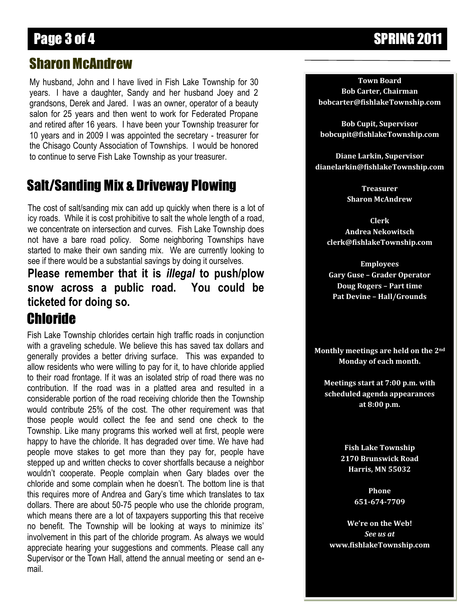# Page 3 of 4 SPRING 2011

#### Sharon McAndrew

My husband, John and I have lived in Fish Lake Township for 30 years. I have a daughter, Sandy and her husband Joey and 2 grandsons, Derek and Jared. I was an owner, operator of a beauty salon for 25 years and then went to work for Federated Propane and retired after 16 years. I have been your Township treasurer for 10 years and in 2009 I was appointed the secretary - treasurer for the Chisago County Association of Townships. I would be honored to continue to serve Fish Lake Township as your treasurer.

#### Salt/Sanding Mix & Driveway Plowing

<u>.</u> The cost of salt/sanding mix can add up quickly when there is a lot of icy roads. While it is cost prohibitive to salt the whole length of a road, we concentrate on intersection and curves. Fish Lake Township does not have a bare road policy. Some neighboring Townships have started to make their own sanding mix. We are currently looking to see if there would be a substantial savings by doing it ourselves.

#### **Please remember that it is** *illegal* **to push/plow snow across a public road. You could be ticketed for doing so.**

#### Chloride

F Fish Lake Township chlorides certain high traffic roads in conjunction with a graveling schedule. We believe this has saved tax dollars and generally provides a better driving surface. This was expanded to allow residents who were willing to pay for it, to have chloride applied to their road frontage. If it was an isolated strip of road there was no contribution. If the road was in a platted area and resulted in a considerable portion of the road receiving chloride then the Township would contribute 25% of the cost. The other requirement was that those people would collect the fee and send one check to the Township. Like many programs this worked well at first, people were happy to have the chloride. It has degraded over time. We have had people move stakes to get more than they pay for, people have stepped up and written checks to cover shortfalls because a neighbor wouldn't cooperate. People complain when Gary blades over the chloride and some complain when he doesn't. The bottom line is that this requires more of Andrea and Gary's time which translates to tax dollars. There are about 50-75 people who use the chloride program, which means there are a lot of taxpayers supporting this that receive no benefit. The Township will be looking at ways to minimize its' involvement in this part of the chloride program. As always we would appreciate hearing your suggestions and comments. Please call any Supervisor or the Town Hall, attend the annual meeting or send an email.

**Town Board Bob Carter, Chairman bobcarter@fishlakeTownship.com**

**Bob Cupit, Supervisor bobcupit@fishlakeTownship.com**

**Diane Larkin, Supervisor dianelarkin@fishlakeTownship.com**

> **Treasurer Sharon McAndrew**

**Clerk Andrea Nekowitsch clerk@fishlakeTownship.com**

**Employees Gary Guse – Grader Operator Doug Rogers – Part time Pat Devine – Hall/Grounds**

**Monthly meetings are held on the 2nd Monday of each month.**

**Meetings start at 7:00 p.m. with scheduled agenda appearances at 8:00 p.m.**

> **Fish Lake Township 2170 Brunswick Road Harris, MN 55032**

> > **Phone 651-674-7709**

**We're on the Web!** *See us at* **www.fishlakeTownship.com**